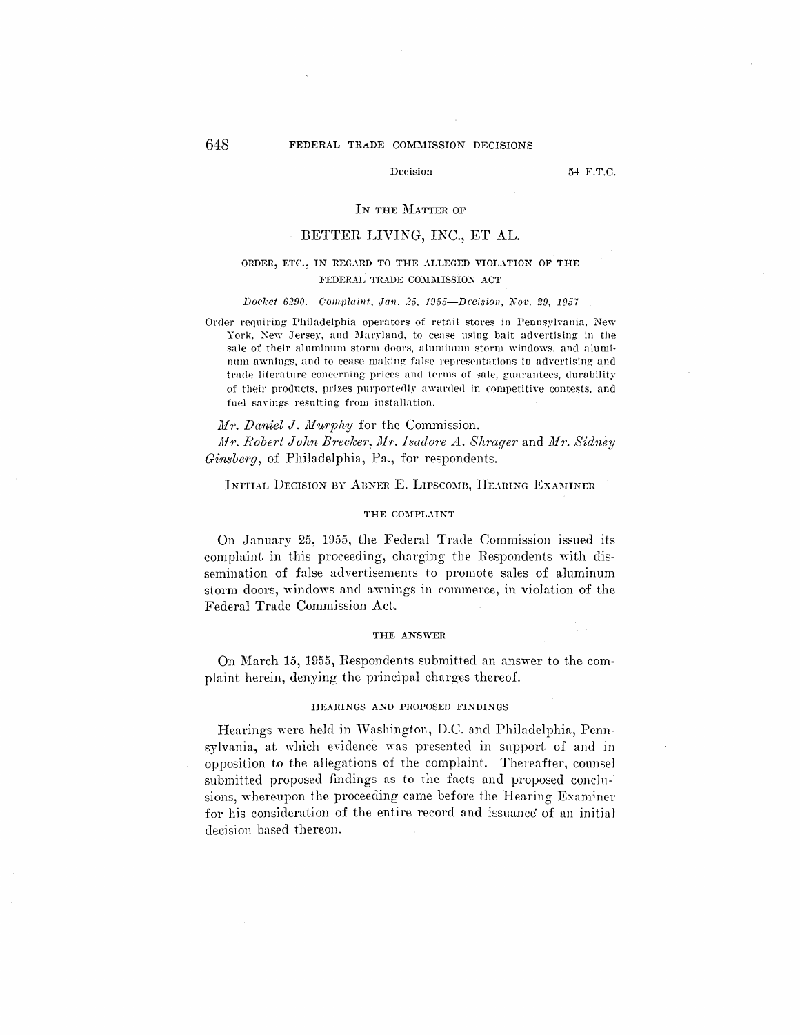### FEDERAL TRADE COMMISSION DECISIONS

## Decision

54 F.T.C.

## IN THE MATTER OF

# BETTER LIVING, INC., ET AL.

# ORDER, ETC., IN REGARD TO THE ALLEGED VIOLATION OF THE FEDERAL TRADE COMMISSION ACT

#### Docket 6290. Complaint, Jan. 25, 1955-Decision, Nov. 29, 1957

Order requiring Philadelphia operators of retail stores in Pennsylvania, New York, New Jersey, and Maryland, to cease using bait advertising in the sale of their aluminum storm doors, aluminum storm windows, and aluminum awnings, and to cease making false representations in advertising and trade literature concerning prices and terms of sale, guarantees, durability of their products, prizes purportedly awarded in competitive contests, and fuel savings resulting from installation.

# Mr. Daniel J. Murphy for the Commission. Mr. Robert John Brecker. Mr. Isadore A. Shrager and Mr. Sidney Ginsberg, of Philadelphia, Pa., for respondents.

## INITIAL DECISION BY ABNER E. LIPSCOMB, HEARING EXAMINER

#### THE COMPLAINT

On January 25, 1955, the Federal Trade Commission issued its complaint in this proceeding, charging the Respondents with dissemination of false advertisements to promote sales of aluminum storm doors, windows and awnings in commerce, in violation of the Federal Trade Commission Act.

#### THE ANSWER

On March 15, 1955, Respondents submitted an answer to the complaint herein, denying the principal charges thereof.

### HEARINGS AND PROPOSED FINDINGS

Hearings were held in Washington, D.C. and Philadelphia, Pennsylvania, at which evidence was presented in support of and in opposition to the allegations of the complaint. Thereafter, counsel submitted proposed findings as to the facts and proposed conclusions, whereupon the proceeding came before the Hearing Examiner for his consideration of the entire record and issuance of an initial decision based thereon.

648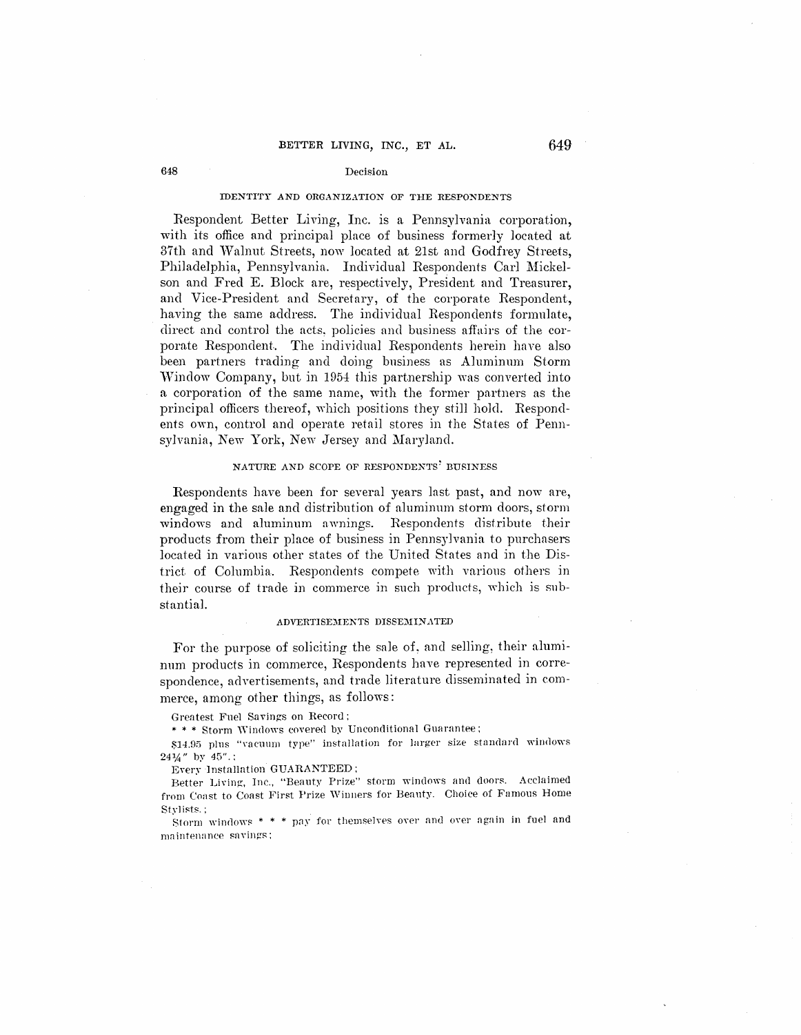#### **IDENTITY AND ORGANIZATION OF THE RESPONDENTS**

Respondent Better Living, Inc. is a Pennsylvania corporation, with its office and principal place of business formerly located at 37th and Walnut Streets, now located at 21st and Godfrey Streets, Philadelphia, Pennsylvania. Individual Respondents Carl Mickelson and Fred E. Block are, respectively, President and Treasurer, and Vice-President and Secretary, of the corporate Respondent, having the same address. The individual Respondents formulate, direct nnd control the acts, policies and business affairs of the corporate Respondent.. The individual Respondents herein have also been partners trading and doing business as Aluminum Storm Window Company, but in 1954 this partnership was converted into a corporation of the same name, with the former partners as the principal officers thereof, which positions they still hold. Respondents own, control and operate retail stores in the States of Pennsylvania, New York, New Jersey and Maryland.

#### **NATURE AND SCOPE OF RESPONDENTS' BUSINESS**

Respondents have been for several years last past, and now are, engaged in the sale and distribution of aluminum storm doors, storm windows and aluminum awnings. Respondents distribute their products from their place of business in Pennsylvania to purchasers located in various other states of the United States and in the District of Columbia. Respondents compete with various others in their course of trade in commerce in such products, which is substantial.

## $ADVERTISEMENTS DISSEMINATED$

For the purpose of soliciting the sale of, and selling, their aluminum products in commerce, Respondents have represented in correspondence, advertisements, and trade literature disseminated in commerce, among other things, as follows :

Grentest Fne1 Savings on Record:

\* \* \* Storm Windows covered by Unconditional Guarantee:

\$14.95 plus "vacuum type" installation for larger size standard windows  $24\frac{1}{4}$ " by  $45$ ".:

Every lnstallation GUARANTEED:

Better Living, Inc., "Beauty Prize" storm windows and doors. Acclaimed from Coast to Coast First Prize Winners for Beauty. Choice of Famous Home Stylists. :

Storm windows  $* * *$  pay for themselves over and over again in fuel and maintenance savings;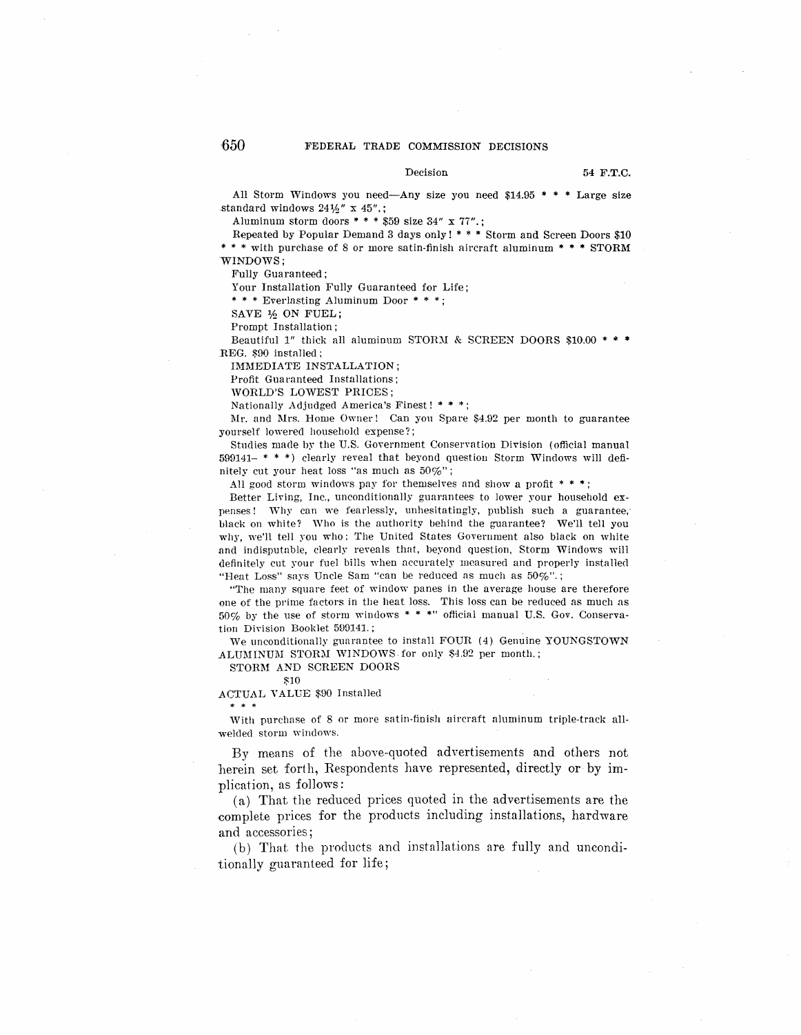#### Decision 54 F.T.C.

All Storm Windows you need-Any size you need \$14.95  $*$  \* \* Large size .standard windows 24½" x 45".;

Aluminum storm doors  $***$  \$59 size 34" x 77".;

Repeated by Popular Demand 3 days only! \* \* \* Storm and Screen Doors \$10 \* \* \* with purchase of 8 or more satin-finish aircraft aluminum \* \* \* STORM WINDOWS;

Fully Guaranteed;

Your Installation Fully Guaranteed for Life;

\* \* \* Everlasting Aluminum Door \* \* \* ;

SAVE ½ ON FUEL;

Prompt Installation;

Beautiful 1" thick all aluminum STORM & SCREEN DOORS \$10.00 \* \* \* REG. \$90 installed :

IMMEDIATE INSTALLATION;

Profit Guarnnteed Installations;

WORLD'S LOWEST PRICES;

Nationally Adjudged America's Finest! \* \* \*:

l\Ir. and l\lrs. Horne Owner! Can yon Spare \$4.92 per month to guarantee yourself lowered household expense?;

Studies made by the U.S. Government Conservation Division (official manual 599141- \* \* \*) clearly reveal that beyond questiou Storm Windows will definitely cut your heat loss "as much as 50%";

All good storm windows pay for themselves and show a profit  $**$ :

Better Living, Inc., unconditionally guarantees to lower your household expenses! Why can we fearlessly, unhesitatingly, publish such a guarantee, black on white? Who is the authority behind the guarantee? We'll tell you why, we'll tell you who: The United States Government also black on white and indisputable, clearly reveals that, beyond question, Storm Windows will definitely cut your fuel bills when accurately measured and properly installed "Heat Loss" says Uncle Sam "can be reduced as much as  $50\%$ ".;

"The many square feet of window panes in the average house are therefore one of the prime factors in the heat loss. This loss can be reduced as much as 50% by the use of storm windows \* \* \*" oflicial manual U.S. Gov. Conservation Division Booklet 599141. ;

We unconditionally guarantee to install FOUR (4) Genuine YOUNGSTOWN ALUMINUM STORM WINDOWS for only \$4.92 per month.;

STORM AND SCREEN DOORS

\$10

\* \* \*

ACTUAL YALUE \$90 Insta1lecl

With purchase of 8 or more satin-finish aircraft aluminum triple-track allwelded storm windows.

Bv means of the above-quoted advertisements and others not herein set forth, Respondents have represented, directly or by implication, as follows:

(a) That the reduced prices quoted in the advertisements are the complete prices for the products including installations, hardware and accessories;

(b) That the products and installations are fully and unconditionally guaranteed for life;

 $650$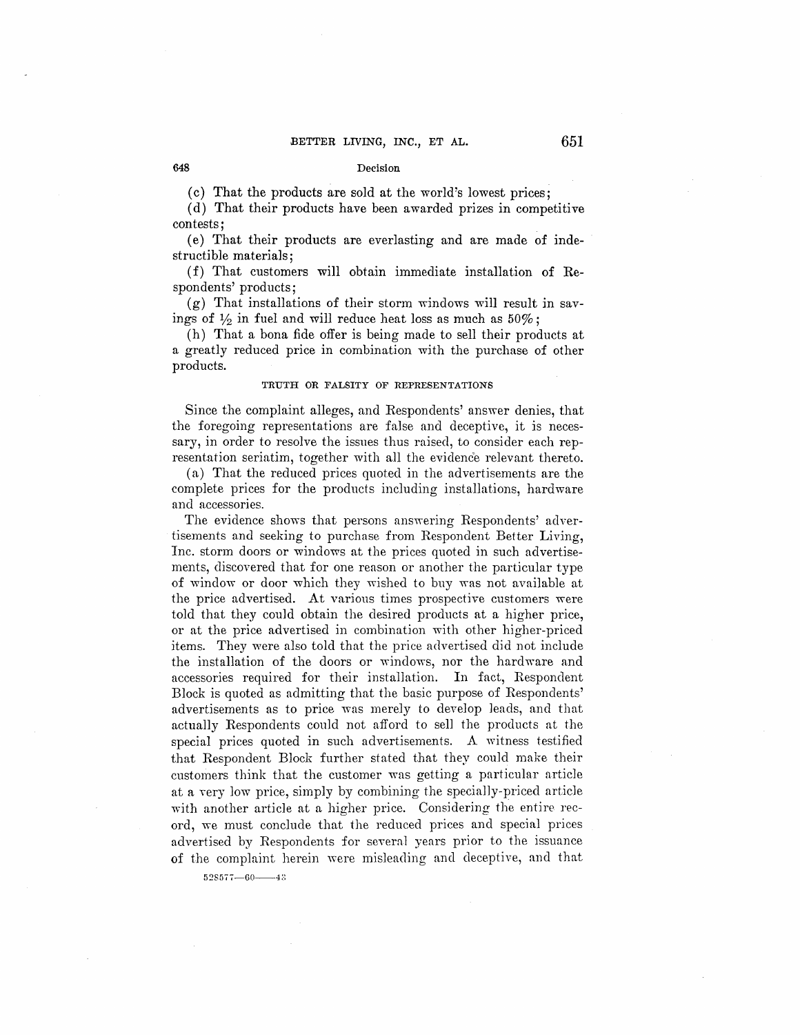(c) That the products are sold at the world's lowest prices;

(d) That their products have been awarded prizes in competitive contests;

(e) That their products are everlasting and are made of indestructible materials;

(f) That customers will obtain immediate installation of Respondents' products;

 $(g)$  That installations of their storm windows will result in savings of  $\frac{1}{2}$  in fuel and will reduce heat loss as much as  $50\%$ ;

(h) That a bona fide offer is being made to sell their products at a greatly reduced price in combination with the purchase of other products.

## **TRUTH OR FALSITY OF REPRESENTATIONS**

Since the complaint alleges, and Respondents' answer denies, that the foregoing representations are false and deceptive, it is necessary, in order to resolve the issues thus raised, to consider each representation seriatim, together with all the evidence relevant thereto.

(a) That the reduced prices quoted in the advertisements are the complete prices for the products including installations, hardware and accessories.

The evidence shows that persons answering Respondents' advertisements and seeking to purchase from Respondent Better Living, Inc. storm doors or windows at the prices quoted in such advertisements, discovered that for one reason or another the particular type of window or door which they wished to buy was not available at the price advertised. At various times prospective customers were told that they could obtain the desired products at a higher price, or at the price advertised in combination with other higher-priced items. They were also told that the price advertised did not include the installation of the doors or windows, nor the hardware and accessories required for their installation. In fact, Respondent Block is quoted as admitting that the basic purpose of Respondents' advertisements as to price was merely to develop leads, and that actually Respondents could not afford to sell the products at the special prices quoted in such advertisements. A witness testified that Respondent Block further stated that they could make their customers think that the customer was getting a particular article at a very low price, simply by combining the specially-priced article with another article at a higher price. Considering the entire record, we must conclude that the reduced prices and special prices advertised by Respondents for several years prior to the issuance of the complaint herein were misleading and deceptive, and that

 $528577 - 60 - 43$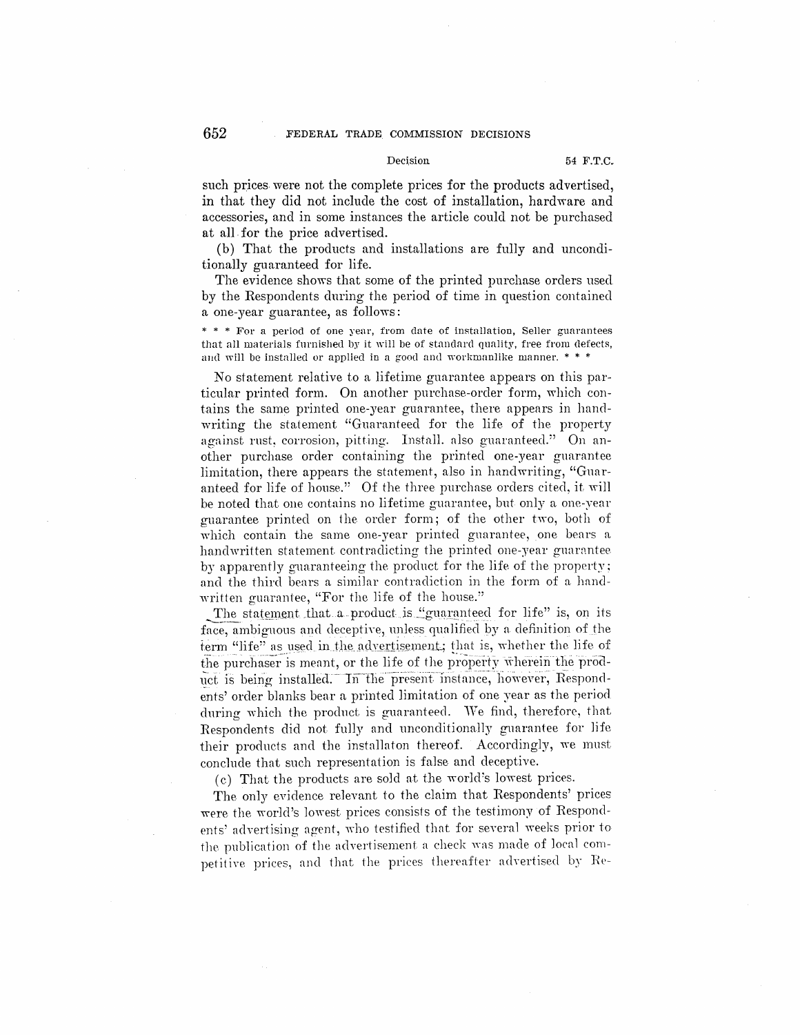## **652** FEDERAL TRADE COMMISSION DECISIONS

#### Decision 54 F.T.C.

such prices were not the complete prices for the products advertised, in that they did not include the cost of installation, hardware and accessories, and in some instances the article could not be purchased at all. for the price advertised.

(b) That the products and installations are fully and unconditionally guaranteed for life.

The evidence shows that some of the printed purchase orders used by the Respondents during the period of time in question contained a one-year guarantee, as follows:

\* \* \* For a period of one yenr, from date of installation, Seller guarantees that all materials furnished by it will be of standard qunlity, free from defects, and will be installed or applied in a good and workmanlike manner.  $* * *$ 

No statement relative to a lifetime guarantee appears on this particular printed form. On another purchase-order form, which contains the same printed one-year guarantee, there appears in handwriting the statement "Guaranteed for the life of the property against rust, corrosion, pitting. Install. also guaranteed." On another purchase order containing the printed one-year guarantee limitation, there appears the statement, also in handwriting, "Guaranteed for life of house." Of the three purchase orders cited, it will be noted that one contains no lifetime guarantee, but only a one-year guarantee printed on 1he order form; of the other two, both of which contain the same one-year printed guarantee, one bears a handwritten statement contradicting the printed one-year guarantee. by apparently guaranteeing the product for the life of the property; and the third bears a similar contradiction in the form of a handwritten guarantee, "For the life of the house."

The statement that a product is "guaranteed for life" is, on its face, ambiguous and deceptive, unless qualified by a definition of the term "life" as used in the advertisement; that is, whether the life of the purchaser is meant, or the life of the property wherein the product is being installed. In the present instance, however, Respondents' order blanks bear a printed limitation of one year as the period during which the product is guaranteed. We find, therefore, that Respondents did not fully and unconditional1y guarantee for life their products and the installaton thereof. Accordingly, we must conclude that such representation is false and deceptive.

(c) That the products are sold at the world's lowest prices.

The only evidence relevant to the claim that Respondents' prices were the world's lowest prices consists of the testimony of Respondents' advertising agent, who testified that for several weeks prior to the publication of the advertisement a check was made of local competitive prices, and that the prices thereafter advertised by Re-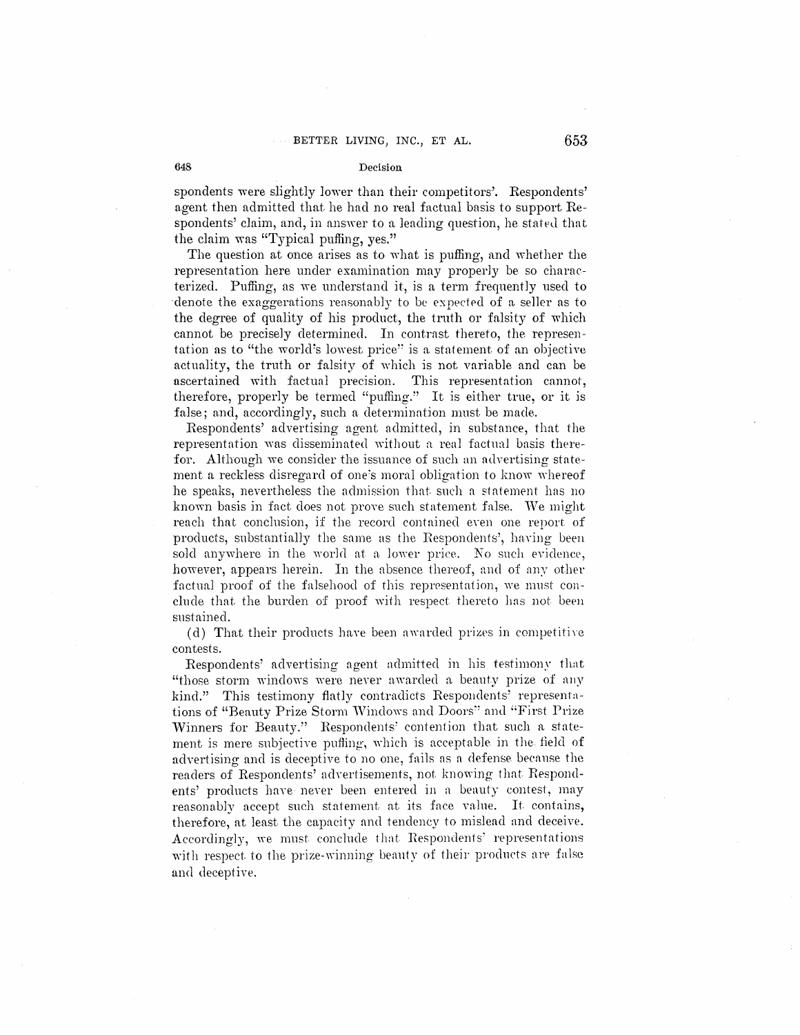spondents were slightly lower than their competitors'. Respondents' agent then admitted that he had no real factual basis to support Respondents' claim, and, in answer to a leading question, he stated that the claim was "Typical puffing, yes."

The question at once arises as to what is puffing, and whether the representation here under examination may properly be so characterized. Puffing, as we understand it, is a term frequently used to denote the exaggerations reasonably to be expected of a seller as to the degree of quality of his product, the truth or falsity of which cannot be precisely determined. In contrast thereto, the representation as to "the world's lowest price" is a statement of an objective actuality, the truth or falsity of which is not variable and can be ascertained with factual precision. This representation cannot, therefore, properly be termed "puffing." It is either true, or it is false; and, accordingly, such a determination must be made.

Respondents' advertising agent admitted, in substance, that the representation was disseminated without a real factual basis therefor. Although we consider the issuance of such an advertising statement a reckless disregard of one's moral obligation to know whereof he speaks, nevertheless the admission that such a statement has no known basis in fact does not prove such statement false. We might reach that conclusion, if the record contained even one report of products, substantially the same as the Respondents', having been sold anywhere in the world at a lower price. No such evidence, however, appears herein. In the absence thereof, and of any other factual proof of the falsehood of this representation, we must conclude that the burden of proof with respect thereto has not been sustained.

(d) That their products have been awarded prizes in competitive contests.

Respondents' advertising agent admitted in his testimony that "those storm windows were never awarded a beauty prize of any kind." This testimony flatly contradicts Respondents' representations of "Beauty Prize Storm Windows and Doors" and "First Prize Winners for Beauty." Respondents' contention that such a statement is mere subjective puffing, which is acceptable in the field of advertising and is deceptive to no one, fails as a defense because the readers of Respondents' advertisements, not knowing that Respondents' products have never been entered in a beauty contest, may reasonably accept such statement at its face value. It contains, therefore, at least the capacity and tendency to mislead and deceive. Accordingly, we must conclude that Respondents' representations with respect to the prize-winning beauty of their products are false and deceptive.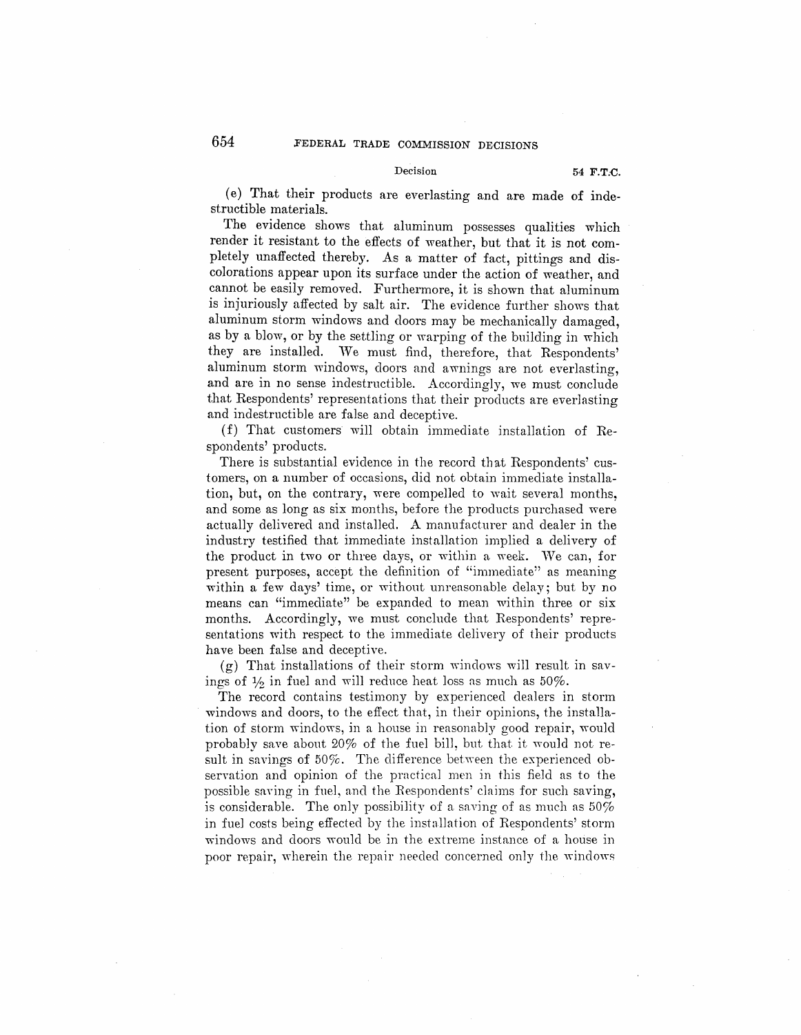## Decision 54 **F.T.C.**

(e) That their products are everlasting and are made of indestructible materials.

The evidence shows that aluminum possesses qualities which render it resistant to the effects of weather, but that it is not completely unaffected thereby. As a matter of fact, pittings and discolorations appear upon its surface under the action of weather, and cannot be easily removed. Furthermore, it is shown that aluminum is injuriously affected by salt air. The evidence further shows that aluminum storm windows and doors may be mechanically damaged, as by a blow, or by the settling or warping of the building in which they are installed. We must find, therefore, that Respondents' aluminum storm windows, doors and awnings are not everlasting, and are in no sense indestructible. Accordingly, we must conclude that Respondents' representations that their products are everlasting and indestructible are false and deceptive.

(f) That customers will obtain immediate installation of Respondents' products.

There is substantial evidence in the record that Respondents' customers, on a number of occasions, did not obtain immediate installation, but, on the contrary, were compelled to wait several months, and some as long as six months, before the products purchased were actually delivered and insta1led. A manufacturer and dealer in the industry testified that immediate installation implied a delivery of the product in two or three days, or within a week. We can, for present purposes, accept the definition of "immediate" as meaning within a few days' time, or without unreasonable delay; but by no means can "immediate" be expanded to mean within three or six months. Accordingly, we must conclude that Respondents' representations with respect to the immediate delivery of their products have been false and deceptive.

 $(g)$  That installations of their storm windows will result in savings of  $\frac{1}{2}$  in fuel and will reduce heat loss as much as  $50\%$ .

The record contains testimony by experienced dealers in storm windows and doors, to the effect that, in their opinions, the installation of storm windows, in a house in reasonably good repair, would probably save about  $20\%$  of the fuel bill, but that it would not result in savings of  $50\%$ . The difference between the experienced observation and opinion of the practical men in this field as to the possible saving in fuel, and the Respondents' claims for such saving, is considerable. The only possibility of a saving of as much as 50% in fuel costs being effected by the installation of Respondents' storm windows and doors would be in the extreme instance of a house in poor repair, wherein the repair needed concerned only the windows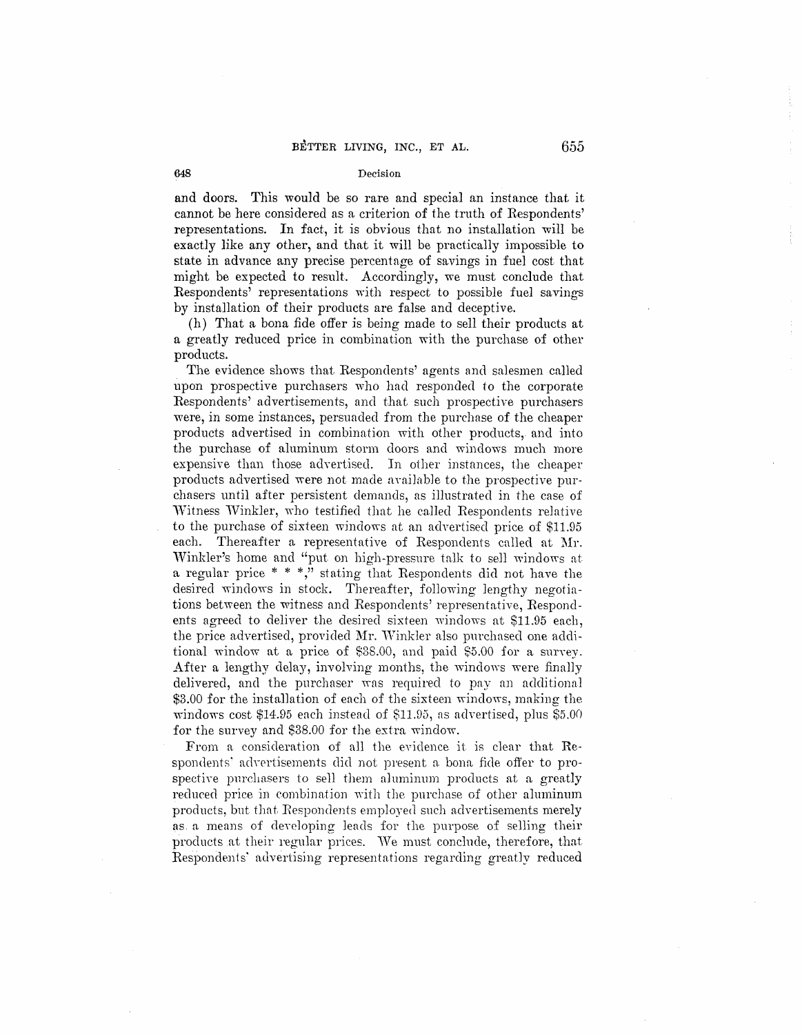and doors. This would be so rare and special an instance that it cannot be here considered as a criterion of the truth of Respondents' representations. In fact, it is obvious that no installation will be exactly like any other, and that it will be practically impossible to state in advance any precise percentage of savings in fuel cost that might be expected to result. Accordingly, we must conclude that Respondents' representations with respect to possible fuel savings by installation of their products are false and deceptive.

(h) That a bona fide offer is being made to sell their products at a greatly reduced price in combination with the purchase of other products.

The evidence shows that Respondents' agents and salesmen called upon prospective purchasers who had responded to the corporate Respondents' advertisements, and that such prospective purchasers were, in some instances, persuaded from the purchase of the cheaper products advertised in combination with other products, and into the purchase of aluminum storm doors and windows much more expensive than those adwrtised. In other instances, the cheaper products advertised were not made available to the prospective purchasers until after persistent demands, as illustrated in the case of Witness Winkler, who testified that he called Respondents relative to the purchase of sixteen windows at an advertised price of \$11.95 each. Thereafter a representative of Respondents called at Mr. Winkler's home and "put on high-pressure talk to sell windows at a regular price  $* * *$ , stating that Respondents did not have the desired windows in stock. Thereafter, following lengthy negotiations between the witness and Respondents' representative, Respondents agreed to deliver the desired sixteen windows at \$11.95 each, the price advertised, provided Mr. Winkler also purchased one additional window at a price of \$38.00, and paid \$5.00 for a survey. After a lengthy delay, involving months, the windows were finally delivered, and the purchaser was required to pay an additional \$3.00 for the installation of each of the sixteen windows, making the windows cost \$14.95 each instead of \$11.95, ns advertised, plus \$5.00 for the survey and \$38.00 for the extra window.

From a. consideration of all the evidence it is clear that **Re**spondents' advertisements did not present a bona fide offer to prospective purchasers to sell them aluminum products at a greatly reduced price in combination with the purchase of other aluminum products, but that Respondents employed such advertisements merely as a means of developing leads for the purpose of selling their products at their regular prices. We must conclude, therefore, that Respondents' advertising representations regarding greatly reduced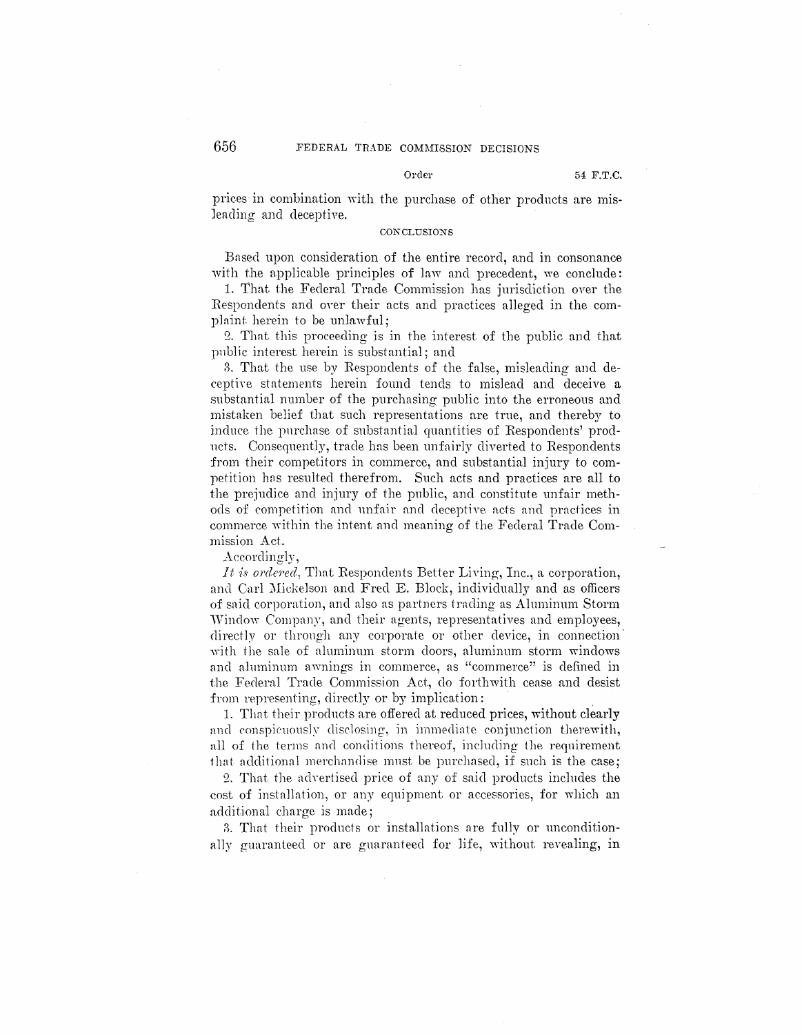#### Order

prices in combination with the purchase of other products are misleading and deceptive.

#### CONCLUSIONS

Based upon consideration of the entire record, and in consonance with the applicable principles of law and precedent, we conclude:

1. That the Federal Trade Commission has jurisdiction over the Respondents and over their acts and practices alleged in the complaint herein to be unlawful:

2. That this proceeding is in the interest of the public and that public interest herein is substantial; and

3. That the use by Respondents of the false, misleading and deceptive statements herein found tends to mislead and deceive a substantial number of the purchasing public into the erroneous and mistaken belief that such representations are true, and thereby to induce the purchase of substantial quantities of Respondents' prodnets. Consequently, trade has been unfairly diverted to Respondents from their competitors in commerce, and substantial injury to competition has resulted therefrom. Such acts and practices are all to the prejudice and injury of the public, and constitute unfair methods of competition and unfair and deceptive acts and practices in commerce within the intent and meaning of the Federal Trade Commission Act.

Accordingly,

*It is ordered*. That Respondents Better Living, Inc., a corporation, and Carl Mickelson and Fred E. Block, individually and as officers of said corporation, and also as partners trading as Aluminum Storm Window Company, and their agents, representatives and employees, directly or through any corporate or other device, in connection with the sale of aluminum storm doors, aluminum storm windows and aluminum awnings in commerce, as "commerce" is defined in the Federal Trade Commission Act, do forthwith cease and desist from representing, directly or by implication:

1. That their products are offered at reduced prices, without clearly and conspicuously disclosing, in immediate conjunction therewith, all of the terms and conditions thereof, including the requirement that additional merchandise must be purchased, if such is the case;

2. That the advertised price of any of said products includes the cost of installation, or any equipment or accessories, for which an additional charge is made;

3. That their products or installations are fully or unconditionally guaranteed or are guaranteed for life, without revealing, in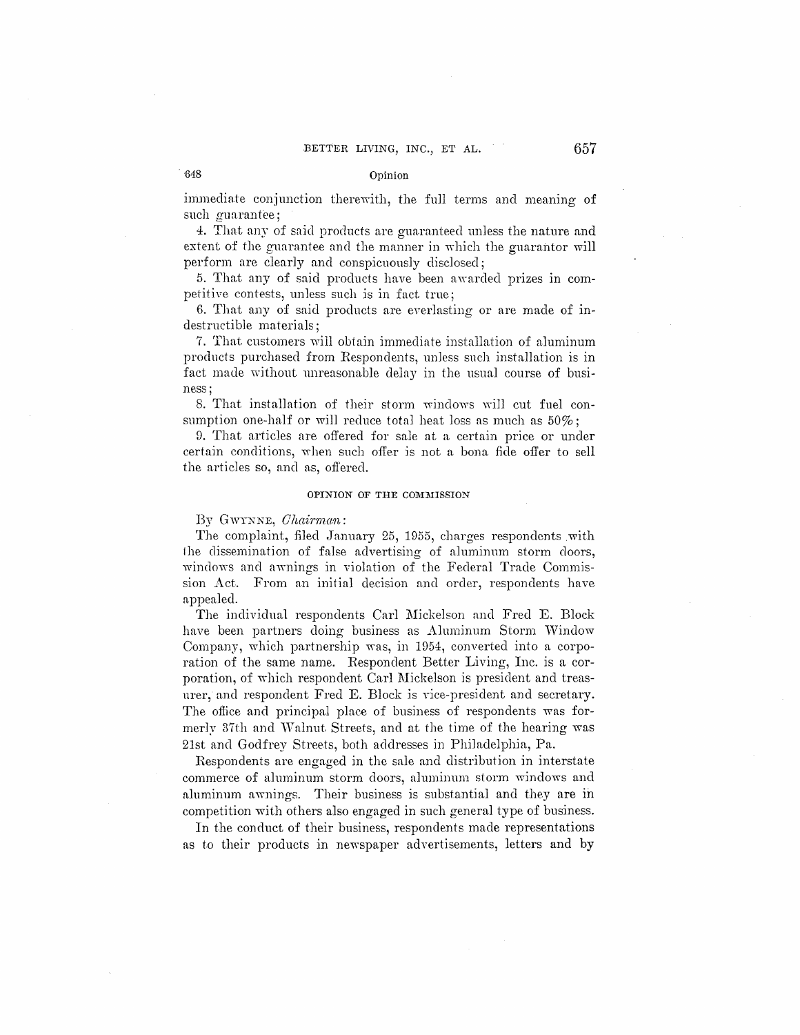immediate conjunction therewith, the full terms and meaning of such guarantee:

4. That any of said products are guaranteed unless the nature and extent of the guarantee and the manner in which the guarantor will perform are clearly and conspicuously disclosed;

5. That any of said products have been awarded prizes in competitive contests, unless such is in fact true;

6. That any of said products are everlasting or are made of indestructible materials;

7. That customers will obtain immediate installation of aluminum products purchased from Respondents, unless such installation is in fact made without unreasonable delay in the usual course of business;

8. That installation of their storm windows will cut fuel consumption one-half or will reduce total heat loss as much as  $50\%$ ;

9. That articles are offered for sale at a certain price or under certain conditions, when such offer is not a bona fide offer to sell the articles so, and as, offered.

### **OPINION OF THE COMMISSION**

By GWYNNE, *Ohainnan:* 

The complaint, filed January 25, 1955, charges respondents with the dissemination of false advertising of aluminum storm doors, windows and awnings in violation of the Federal Trade Commission Act. From an initial decision and order, respondents have appealed.

The individual respondents Carl Mickelson and Fred E. Block have been partners doing business as Aluminum Storm Window Company, which partnership was, in 1954, converted into a corporation of the same name. Respondent Better Living, Inc. is a corporation, of which respondent Carl Mickelson is president and treasurer, and respondent Fred E. Block is vice-president and secretary. The office and principal place of business of respondents was formerly 37th and Walnut Streets, and at the time of the hearing was 21st and Godfrey Streets, both addresses in Philadelphia, Pa.

Respondents are engaged in the sale and distribution in interstate commerce of aluminum storm doors, aluminum storm windows and aluminum awnings. Their business is substantial and they are in competition with others also engaged in such general type of business.

In the conduct of their business, respondents made representations as to their products in newspaper advertisements, letters and by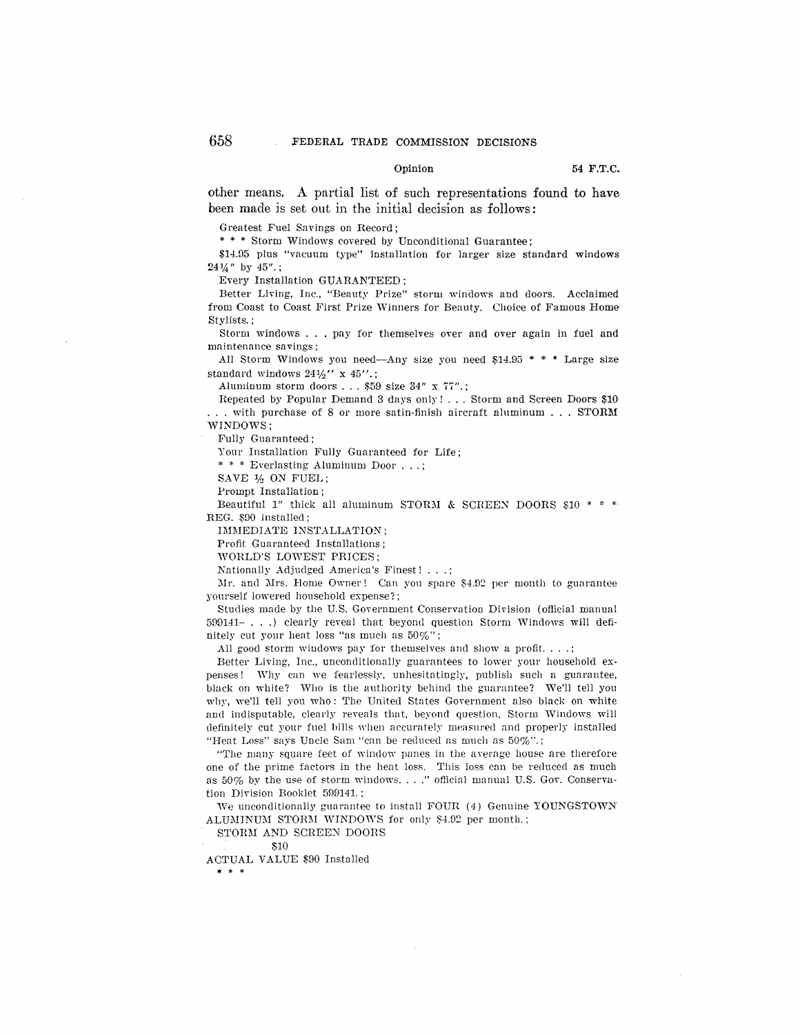#### Opinion **54 F.T.C.**

other means. A partial list of such representations found to have been made is set out in the initial decision as follows:

Greatest Fuel Savings on Record;

\* \* \* Storm Windows covered by Unconditional Guarantee;

\$14.D5 plus "vacuum type" installation for larger size standard windows  $24\frac{1}{4}$ " by  $45$ ".:

Every Installation GUARANTEED;

Better Living, Inc., "Beauty Prize" storm windows and doors. Acclaimed from Coast to Coast First Prize Winners for Beauty. Choice of Famous Home Stylists. ;

Storm windows ... pay for themselves over and over again in fuel and maintenance savings;

All Storm Windows you need-Any size you need \$14.93 \* \* \* Large size standard windows  $24\frac{1}{2}$ " x  $45$ ".;

Aluminum storm doors ... \$59 size  $34''$  x  $77''$ .;

Repeated by Popular Demand 3 days only! ... Storm and Screen Doors \$10 .. with purchase of 8 or more satin-finish aircraft aluminum  $\ldots$  STORM WINDOWS;

Fully Guaranteed;

Your Installation Fully Guaranteed for Life;

\* \* \* Everlasting Aluminum Door ... ;

SAVE ½ ON FUEL;

Prompt Installation;

Beautiful 1" thick all aluminum STORM & SCREEN DOORS \$10  $* * *$ REG. \$90 installed;

IMMEDIATE INSTALLATION;

Profit Guaranteed Installations;

WORLD'S LOWEST PRICES;

Nationally Adjudged America's Finest!

Mr. and Mrs. Home Owner! Can you spare \$4.92 per month to guarantee yourself lowered household expense?;

Studies made by the U.S. Government Conservation Division (official manual  $599141-.$ ...) clearly reveal that beyond question Storm Windows will definitely cut your heat loss "as much as 50%";

All good storm windows pay for themselves and show a profit...;

Better Living, Inc., unconditionally guarantees to lower your household expenses! Why can we fearlessly, unhesitatingly, publish such a guarantee, black on white? Who is the authority behind the guarantee? We'll tell you why, we'll tell you who: The United States Government also black on white and indisputable, clearly reveals that, beyond question, Storm Windows will definitely cut your fuel bills when accurately measured and properly installed "Heat Loss" says Uncle Sam "can be reduced as much as  $50\%$ ".;

"The many square feet of window panes in the average house are therefore one of the prime factors in the heat loss. 'This loss can be reduced as much as 50% by the use of storm windows...." official manual U.S. Gov. Conservation Division Booklet 589141.;

We unconditionally guarantee to install FOUR (4) Genuine YOUNGSTOWN. ALUMINUM STORM WINDOWS for only \$4.92 per month.;

STORM AND SCREEN DOORS

ACTUAL VALUE \$90 Installed \* \* \*

<sup>:\$10</sup>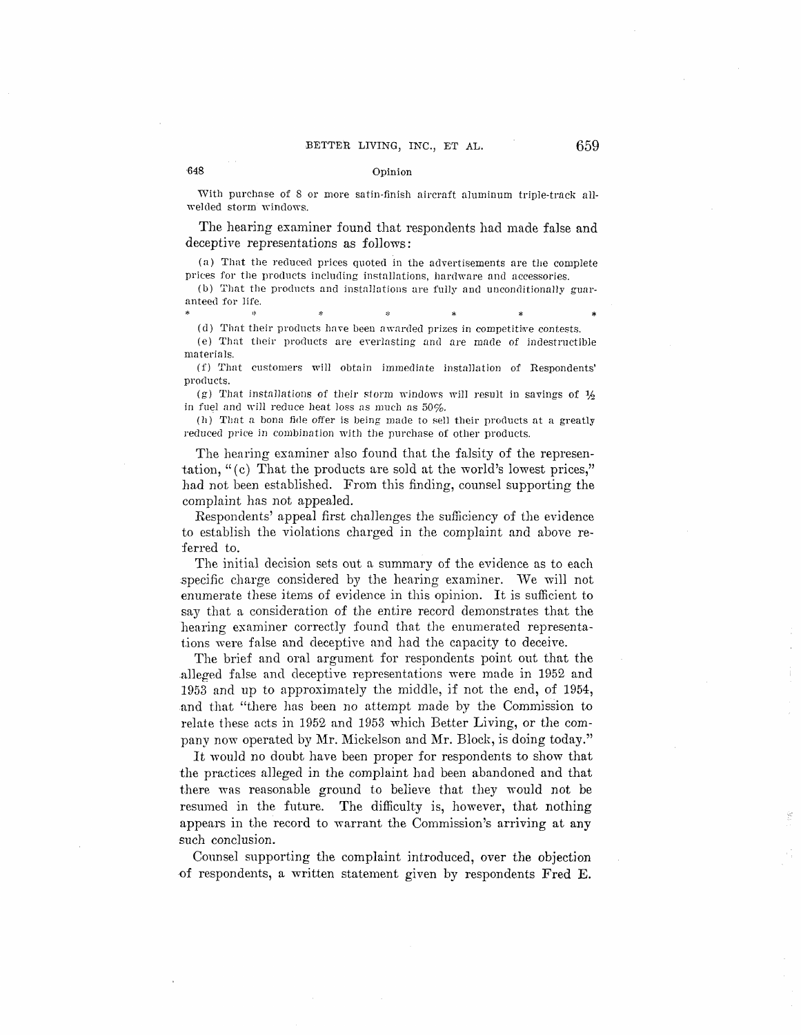#### Opinion

648

With purchase of 8 or more satin-finish aircraft aluminum triple-track allwelded storm windows.

The hearing examiner found that respondents had made false and deceptive representations as follows:

(a) That the reduced prices quoted in the advertisements are the complete prices for the products including installations, hardware and accessories.

(b) That the products and installations are fully and unconditionally guaranteed for life.

(d) That their products have been awarded prizes in competitive contests.

(e) That their products are everlasting and are made of indestructible materials.

(f) That customers will obtain immediate installation of Respondents' products.

(g) That installations of their storm windows will result in savings of  $\frac{1}{2}$ in fuel and will reduce heat loss as much as  $50\%$ .

(h) That a bona fide offer is being made to sell their products at a greatly reduced price in combination with the purchase of other products.

The hearing examiner also found that the falsity of the representation, "(c) That the products are sold at the world's lowest prices," had not been established. From this finding, counsel supporting the complaint has not appealed.

Respondents' appeal first challenges the sufficiency of the evidence to establish the violations charged in the complaint and above referred to.

The initial decision sets out a summary of the evidence as to each specific charge considered by the hearing examiner. We will not enumerate these items of evidence in this opinion. It is sufficient to say that a consideration of the entire record demonstrates that the hearing examiner correctly found that the enumerated representations were false and deceptive and had the capacity to deceive.

The brief and oral argument for respondents point out that the alleged false and deceptive representations were made in 1952 and 1953 and up to approximately the middle, if not the end, of 1954, and that "there has been no attempt made by the Commission to relate these acts in 1952 and 1953 which Better Living, or the company now operated by Mr. Mickelson and Mr. Block, is doing today."

It would no doubt have been proper for respondents to show that the practices alleged in the complaint had been abandoned and that there was reasonable ground to believe that they would not be resumed in the future. The difficulty is, however, that nothing appears in the record to warrant the Commission's arriving at any such conclusion.

Counsel supporting the complaint introduced, over the objection of respondents, a written statement given by respondents Fred E.

# 659